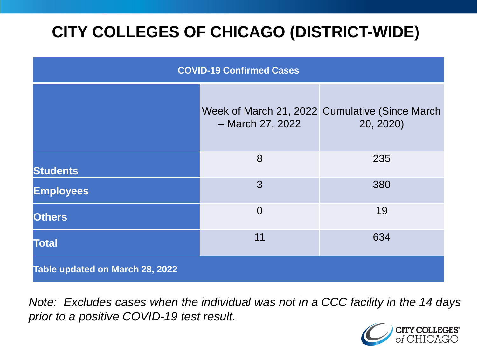# **CITY COLLEGES OF CHICAGO (DISTRICT-WIDE)**

| <b>COVID-19 Confirmed Cases</b> |                  |                                                             |
|---------------------------------|------------------|-------------------------------------------------------------|
|                                 | - March 27, 2022 | Week of March 21, 2022 Cumulative (Since March<br>20, 2020) |
| <b>Students</b>                 | 8                | 235                                                         |
| <b>Employees</b>                | 3                | 380                                                         |
| <b>Others</b>                   | $\Omega$         | 19                                                          |
| <b>Total</b>                    | 11               | 634                                                         |
| Table updated on March 28, 2022 |                  |                                                             |

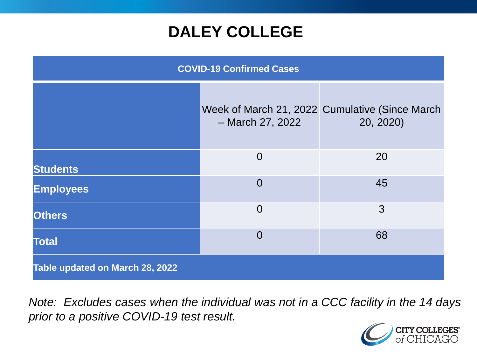## **DALEY COLLEGE**

| <b>COVID-19 Confirmed Cases</b> |                  |                                                             |
|---------------------------------|------------------|-------------------------------------------------------------|
|                                 | - March 27, 2022 | Week of March 21, 2022 Cumulative (Since March<br>20, 2020) |
| <b>Students</b>                 | $\overline{0}$   | 20                                                          |
| <b>Employees</b>                | $\overline{0}$   | 45                                                          |
| <b>Others</b>                   | $\overline{0}$   | 3                                                           |
| <b>Total</b>                    | $\overline{0}$   | 68                                                          |
| Table updated on March 28, 2022 |                  |                                                             |

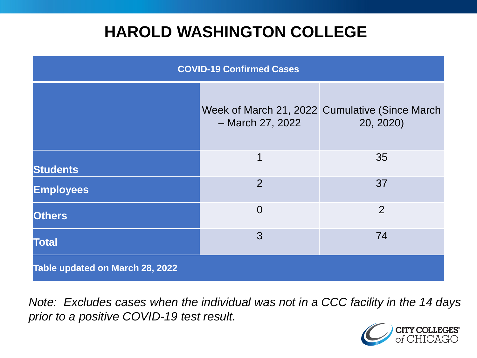## **HAROLD WASHINGTON COLLEGE**

| <b>COVID-19 Confirmed Cases</b> |                  |                                                             |
|---------------------------------|------------------|-------------------------------------------------------------|
|                                 | - March 27, 2022 | Week of March 21, 2022 Cumulative (Since March<br>20, 2020) |
| <b>Students</b>                 | 1                | 35                                                          |
| <b>Employees</b>                | $\overline{2}$   | 37                                                          |
| <b>Others</b>                   | $\overline{0}$   | $\overline{2}$                                              |
| <b>Total</b>                    | 3                | 74                                                          |
| Table updated on March 28, 2022 |                  |                                                             |

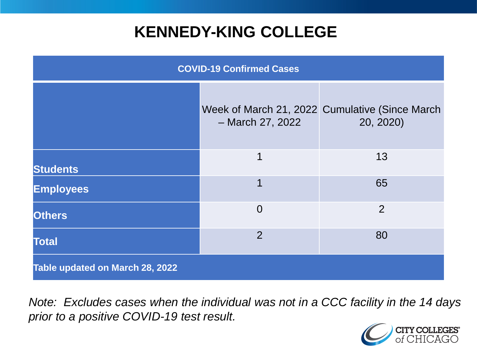## **KENNEDY-KING COLLEGE**

| <b>COVID-19 Confirmed Cases</b> |                  |                                                             |
|---------------------------------|------------------|-------------------------------------------------------------|
|                                 | - March 27, 2022 | Week of March 21, 2022 Cumulative (Since March<br>20, 2020) |
| <b>Students</b>                 | 1                | 13                                                          |
| <b>Employees</b>                | 1                | 65                                                          |
| <b>Others</b>                   | $\overline{0}$   | $\overline{2}$                                              |
| <b>Total</b>                    | $\overline{2}$   | 80                                                          |
| Table updated on March 28, 2022 |                  |                                                             |

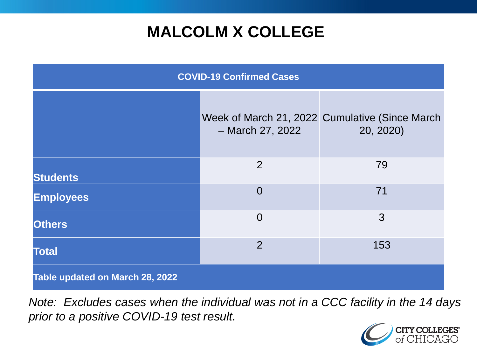# **MALCOLM X COLLEGE**

| <b>COVID-19 Confirmed Cases</b> |                  |                                                             |
|---------------------------------|------------------|-------------------------------------------------------------|
|                                 | - March 27, 2022 | Week of March 21, 2022 Cumulative (Since March<br>20, 2020) |
| <b>Students</b>                 | 2                | 79                                                          |
| <b>Employees</b>                | $\overline{0}$   | 71                                                          |
| <b>Others</b>                   | $\overline{0}$   | 3                                                           |
| <b>Total</b>                    | $\overline{2}$   | 153                                                         |
| Table updated on March 28, 2022 |                  |                                                             |

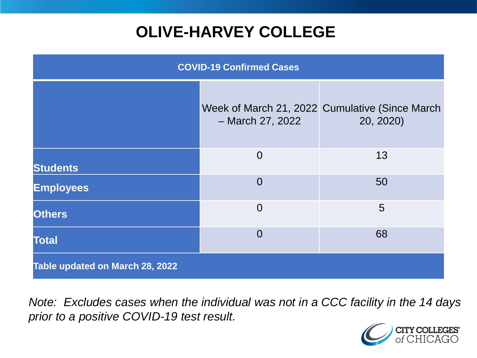# **OLIVE-HARVEY COLLEGE**

| <b>COVID-19 Confirmed Cases</b> |                  |                                                             |
|---------------------------------|------------------|-------------------------------------------------------------|
|                                 | - March 27, 2022 | Week of March 21, 2022 Cumulative (Since March<br>20, 2020) |
| <b>Students</b>                 | $\overline{0}$   | 13                                                          |
| <b>Employees</b>                | $\Omega$         | 50                                                          |
| <b>Others</b>                   | $\Omega$         | 5                                                           |
| <b>Total</b>                    | $\Omega$         | 68                                                          |
| Table updated on March 28, 2022 |                  |                                                             |

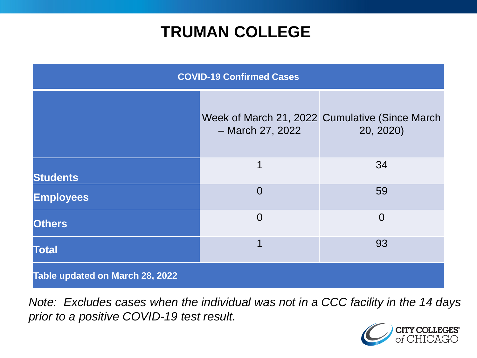## **TRUMAN COLLEGE**

| <b>COVID-19 Confirmed Cases</b> |                  |                                                             |
|---------------------------------|------------------|-------------------------------------------------------------|
|                                 | - March 27, 2022 | Week of March 21, 2022 Cumulative (Since March<br>20, 2020) |
| <b>Students</b>                 | 1                | 34                                                          |
| <b>Employees</b>                | $\Omega$         | 59                                                          |
| <b>Others</b>                   | $\overline{0}$   | $\overline{0}$                                              |
| <b>Total</b>                    | 1                | 93                                                          |
| Table updated on March 28, 2022 |                  |                                                             |

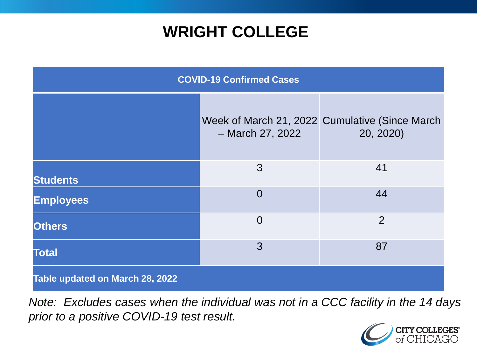## **WRIGHT COLLEGE**

| <b>COVID-19 Confirmed Cases</b> |                  |                                                             |
|---------------------------------|------------------|-------------------------------------------------------------|
|                                 | - March 27, 2022 | Week of March 21, 2022 Cumulative (Since March<br>20, 2020) |
| <b>Students</b>                 | 3                | 41                                                          |
| <b>Employees</b>                | $\overline{0}$   | 44                                                          |
| <b>Others</b>                   | $\overline{0}$   | $\overline{2}$                                              |
| <b>Total</b>                    | 3                | 87                                                          |
| Table updated on March 28, 2022 |                  |                                                             |

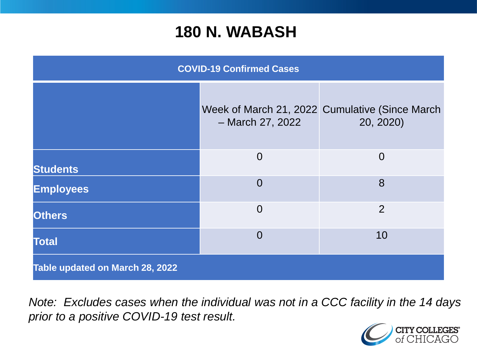#### **180 N. WABASH**

| <b>COVID-19 Confirmed Cases</b> |                  |                                                             |
|---------------------------------|------------------|-------------------------------------------------------------|
|                                 | - March 27, 2022 | Week of March 21, 2022 Cumulative (Since March<br>20, 2020) |
| <b>Students</b>                 | $\overline{0}$   | $\overline{0}$                                              |
| <b>Employees</b>                | $\Omega$         | 8                                                           |
| <b>Others</b>                   | $\overline{0}$   | $\overline{2}$                                              |
| <b>Total</b>                    | $\Omega$         | 10                                                          |
| Table updated on March 28, 2022 |                  |                                                             |